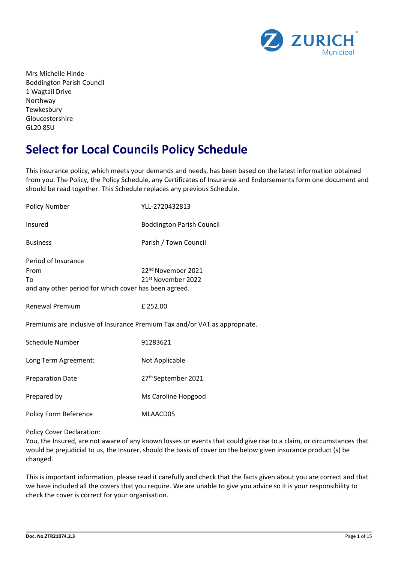

Mrs Michelle Hinde Boddington Parish Council 1 Wagtail Drive Northway **Tewkesbury** Gloucestershire GL20 8SU

# **Select for Local Councils Policy Schedule**

This insurance policy, which meets your demands and needs, has been based on the latest information obtained from you. The Policy, the Policy Schedule, any Certificates of Insurance and Endorsements form one document and should be read together. This Schedule replaces any previous Schedule.

| <b>Policy Number</b>                                                       | YLL-2720432813                   |  |  |
|----------------------------------------------------------------------------|----------------------------------|--|--|
| Insured                                                                    | <b>Boddington Parish Council</b> |  |  |
| <b>Business</b>                                                            | Parish / Town Council            |  |  |
| Period of Insurance                                                        |                                  |  |  |
| From                                                                       | 22 <sup>nd</sup> November 2021   |  |  |
| To                                                                         | 21 <sup>st</sup> November 2022   |  |  |
| and any other period for which cover has been agreed.                      |                                  |  |  |
| <b>Renewal Premium</b>                                                     | £ 252.00                         |  |  |
| Premiums are inclusive of Insurance Premium Tax and/or VAT as appropriate. |                                  |  |  |
| <b>Schedule Number</b>                                                     | 91283621                         |  |  |
| Long Term Agreement:                                                       | Not Applicable                   |  |  |
| <b>Preparation Date</b>                                                    | 27th September 2021              |  |  |
| Prepared by                                                                | Ms Caroline Hopgood              |  |  |
| Policy Form Reference                                                      | MLAACD05                         |  |  |

Policy Cover Declaration:

You, the Insured, are not aware of any known losses or events that could give rise to a claim, or circumstances that would be prejudicial to us, the Insurer, should the basis of cover on the below given insurance product (s) be changed.

This is important information, please read it carefully and check that the facts given about you are correct and that we have included all the covers that you require. We are unable to give you advice so it is your responsibility to check the cover is correct for your organisation.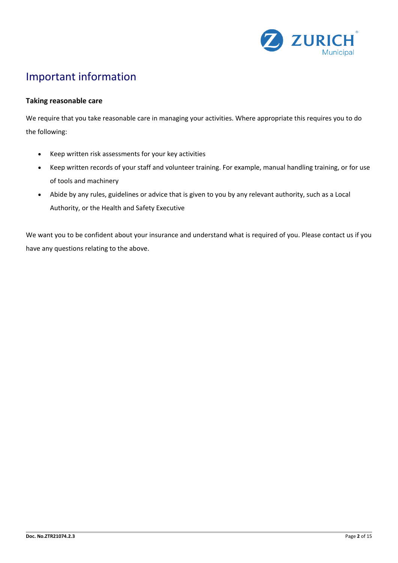

## Important information

## **Taking reasonable care**

We require that you take reasonable care in managing your activities. Where appropriate this requires you to do the following:

- Keep written risk assessments for your key activities
- Keep written records of your staff and volunteer training. For example, manual handling training, or for use of tools and machinery
- Abide by any rules, guidelines or advice that is given to you by any relevant authority, such as a Local Authority, or the Health and Safety Executive

We want you to be confident about your insurance and understand what is required of you. Please contact us if you have any questions relating to the above.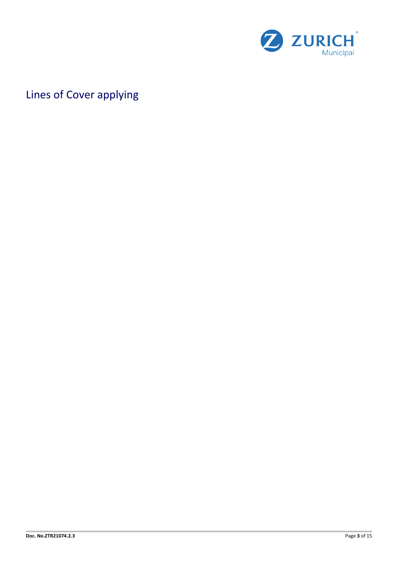

# Lines of Cover applying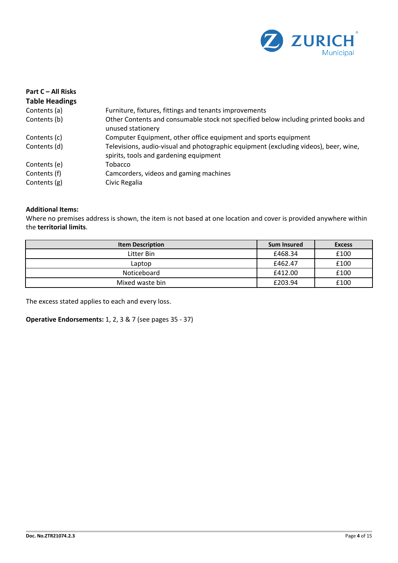

| Part C – All Risks<br><b>Table Headings</b> |                                                                                                                                |
|---------------------------------------------|--------------------------------------------------------------------------------------------------------------------------------|
| Contents (a)                                | Furniture, fixtures, fittings and tenants improvements                                                                         |
| Contents (b)                                | Other Contents and consumable stock not specified below including printed books and<br>unused stationery                       |
| Contents (c)                                | Computer Equipment, other office equipment and sports equipment                                                                |
| Contents (d)                                | Televisions, audio-visual and photographic equipment (excluding videos), beer, wine,<br>spirits, tools and gardening equipment |
| Contents (e)                                | Tobacco                                                                                                                        |
| Contents (f)                                | Camcorders, videos and gaming machines                                                                                         |
| Contents (g)                                | Civic Regalia                                                                                                                  |

## **Additional Items:**

Where no premises address is shown, the item is not based at one location and cover is provided anywhere within the **territorial limits**.

| <b>Item Description</b> | <b>Sum Insured</b> | <b>Excess</b> |
|-------------------------|--------------------|---------------|
| Litter Bin              | £468.34            | £100          |
| Laptop                  | £462.47            | £100          |
| Noticeboard             | £412.00            | £100          |
| Mixed waste bin         | £203.94            | £100          |

The excess stated applies to each and every loss.

**Operative Endorsements:** 1, 2, 3 & 7 (see pages 35 - 37)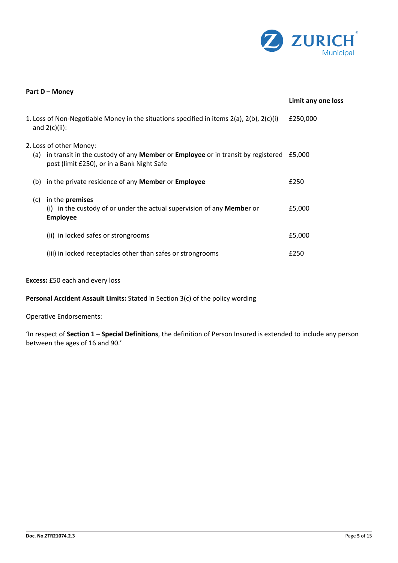

| Part D - Money |                                                                                                                                                                        |                    |
|----------------|------------------------------------------------------------------------------------------------------------------------------------------------------------------------|--------------------|
|                |                                                                                                                                                                        | Limit any one loss |
|                | 1. Loss of Non-Negotiable Money in the situations specified in items $2(a)$ , $2(b)$ , $2(c)(i)$<br>and $2(c)(ii)$ :                                                   | £250,000           |
| (a)            | 2. Loss of other Money:<br>in transit in the custody of any <b>Member</b> or <b>Employee</b> or in transit by registered<br>post (limit £250), or in a Bank Night Safe | £5.000             |
| (b)            | in the private residence of any Member or Employee                                                                                                                     | £250               |
| (c)            | in the <b>premises</b><br>(i) in the custody of or under the actual supervision of any <b>Member</b> or<br><b>Employee</b>                                             | £5,000             |
|                | (ii) in locked safes or strongrooms                                                                                                                                    | £5,000             |
|                | (iii) in locked receptacles other than safes or strongrooms                                                                                                            | £250               |

## **Excess:** £50 each and every loss

**Personal Accident Assault Limits:** Stated in Section 3(c) of the policy wording

#### Operative Endorsements:

'In respect of **Section 1 – Special Definitions**, the definition of Person Insured is extended to include any person between the ages of 16 and 90.'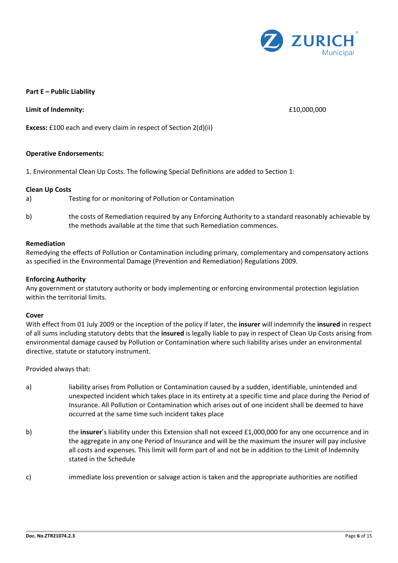

#### **Part E – Public Liability**

**Limit of Indemnity:**  $\qquad 610,000,000$ 

**Excess:** £100 each and every claim in respect of Section 2(d)(ii)

#### **Operative Endorsements:**

1. Environmental Clean Up Costs. The following Special Definitions are added to Section 1:

#### **Clean Up Costs**

- a) Testing for or monitoring of Pollution or Contamination
- b) the costs of Remediation required by any Enforcing Authority to a standard reasonably achievable by the methods available at the time that such Remediation commences.

#### **Remediation**

Remedying the effects of Pollution or Contamination including primary, complementary and compensatory actions as specified in the Environmental Damage (Prevention and Remediation) Regulations 2009.

#### **Enforcing Authority**

Any government or statutory authority or body implementing or enforcing environmental protection legislation within the territorial limits.

#### **Cover**

With effect from 01 July 2009 or the inception of the policy if later, the **insurer** will indemnify the **insured** in respect of all sums including statutory debts that the **insured** is legally liable to pay in respect of Clean Up Costs arising from environmental damage caused by Pollution or Contamination where such liability arises under an environmental directive, statute or statutory instrument.

Provided always that:

- a) liability arises from Pollution or Contamination caused by a sudden, identifiable, unintended and unexpected incident which takes place in its entirety at a specific time and place during the Period of Insurance. All Pollution or Contamination which arises out of one incident shall be deemed to have occurred at the same time such incident takes place
- b) the **insurer**'s liability under this Extension shall not exceed £1,000,000 for any one occurrence and in the aggregate in any one Period of Insurance and will be the maximum the insurer will pay inclusive all costs and expenses. This limit will form part of and not be in addition to the Limit of Indemnity stated in the Schedule
- c) immediate loss prevention or salvage action is taken and the appropriate authorities are notified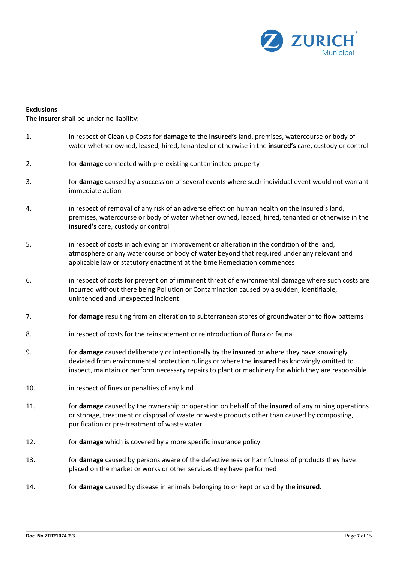

#### **Exclusions**

The **insurer** shall be under no liability:

- 1. in respect of Clean up Costs for **damage** to the **Insured's** land, premises, watercourse or body of water whether owned, leased, hired, tenanted or otherwise in the **insured's** care, custody or control
- 2. for **damage** connected with pre-existing contaminated property
- 3. for **damage** caused by a succession of several events where such individual event would not warrant immediate action
- 4. in respect of removal of any risk of an adverse effect on human health on the Insured's land, premises, watercourse or body of water whether owned, leased, hired, tenanted or otherwise in the **insured's** care, custody or control
- 5. in respect of costs in achieving an improvement or alteration in the condition of the land, atmosphere or any watercourse or body of water beyond that required under any relevant and applicable law or statutory enactment at the time Remediation commences
- 6. in respect of costs for prevention of imminent threat of environmental damage where such costs are incurred without there being Pollution or Contamination caused by a sudden, identifiable, unintended and unexpected incident
- 7. for **damage** resulting from an alteration to subterranean stores of groundwater or to flow patterns
- 8. in respect of costs for the reinstatement or reintroduction of flora or fauna
- 9. for **damage** caused deliberately or intentionally by the **insured** or where they have knowingly deviated from environmental protection rulings or where the **insured** has knowingly omitted to inspect, maintain or perform necessary repairs to plant or machinery for which they are responsible
- 10. in respect of fines or penalties of any kind
- 11. for **damage** caused by the ownership or operation on behalf of the **insured** of any mining operations or storage, treatment or disposal of waste or waste products other than caused by composting, purification or pre-treatment of waste water
- 12. for **damage** which is covered by a more specific insurance policy
- 13. for **damage** caused by persons aware of the defectiveness or harmfulness of products they have placed on the market or works or other services they have performed
- 14. for **damage** caused by disease in animals belonging to or kept or sold by the **insured**.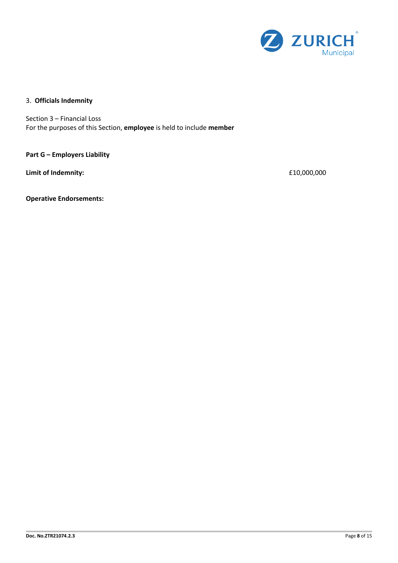

## 3. **Officials Indemnity**

Section 3 – Financial Loss For the purposes of this Section, **employee** is held to include **member**

**Part G – Employers Liability** 

**Limit of Indemnity:**  $£10,000,000$ 

**Operative Endorsements:**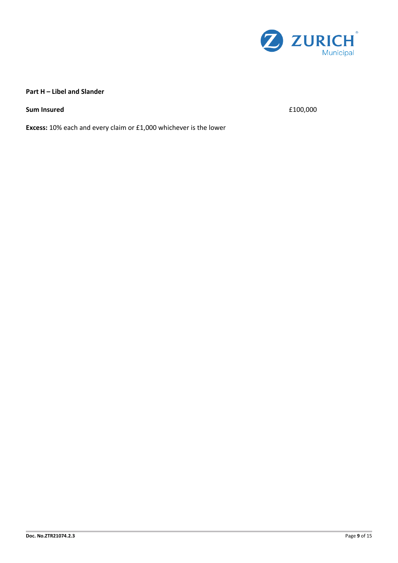

## **Part H – Libel and Slander**

**Sum Insured**  $f(100,000)$ 

**Excess:** 10% each and every claim or £1,000 whichever is the lower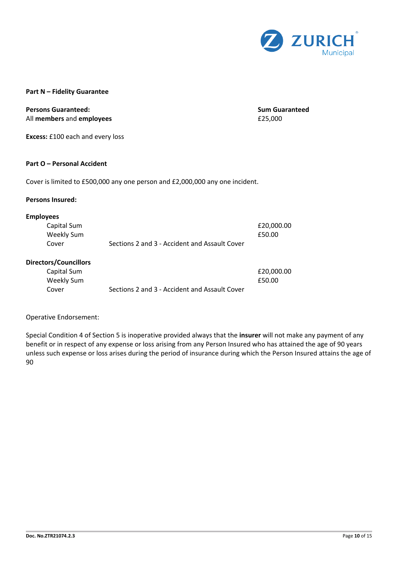

#### **Part N – Fidelity Guarantee**

### **Persons Guaranteed: Sum Guaranteed** All **members** and **employees** £25,000

**Excess:** £100 each and every loss

#### **Part O – Personal Accident**

Cover is limited to £500,000 any one person and £2,000,000 any one incident.

#### **Persons Insured:**

#### **Employees**

| Capital Sum |                                               | £20.000.00 |
|-------------|-----------------------------------------------|------------|
| Weekly Sum  |                                               | £50.00     |
| Cover       | Sections 2 and 3 - Accident and Assault Cover |            |

#### **Directors/Councillors**

| Capital Sum |                                               | £20,000.00 |
|-------------|-----------------------------------------------|------------|
| Weekly Sum  |                                               | £50.00     |
| Cover       | Sections 2 and 3 - Accident and Assault Cover |            |

#### Operative Endorsement:

Special Condition 4 of Section 5 is inoperative provided always that the **insurer** will not make any payment of any benefit or in respect of any expense or loss arising from any Person Insured who has attained the age of 90 years unless such expense or loss arises during the period of insurance during which the Person Insured attains the age of 90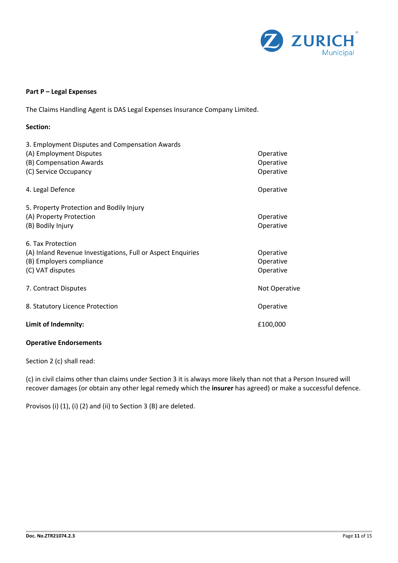

## **Part P – Legal Expenses**

The Claims Handling Agent is DAS Legal Expenses Insurance Company Limited.

| Section:                                                                                                                         |                                     |
|----------------------------------------------------------------------------------------------------------------------------------|-------------------------------------|
| 3. Employment Disputes and Compensation Awards<br>(A) Employment Disputes<br>(B) Compensation Awards<br>(C) Service Occupancy    | Operative<br>Operative<br>Operative |
| 4. Legal Defence                                                                                                                 | Operative                           |
| 5. Property Protection and Bodily Injury<br>(A) Property Protection<br>(B) Bodily Injury                                         | Operative<br>Operative              |
| 6. Tax Protection<br>(A) Inland Revenue Investigations, Full or Aspect Enquiries<br>(B) Employers compliance<br>(C) VAT disputes | Operative<br>Operative<br>Operative |
| 7. Contract Disputes                                                                                                             | Not Operative                       |
| 8. Statutory Licence Protection                                                                                                  | Operative                           |
| Limit of Indemnity:                                                                                                              | £100,000                            |

#### **Operative Endorsements**

Section 2 (c) shall read:

(c) in civil claims other than claims under Section 3 it is always more likely than not that a Person Insured will recover damages (or obtain any other legal remedy which the **insurer** has agreed) or make a successful defence.

Provisos (i) (1), (i) (2) and (ii) to Section 3 (B) are deleted.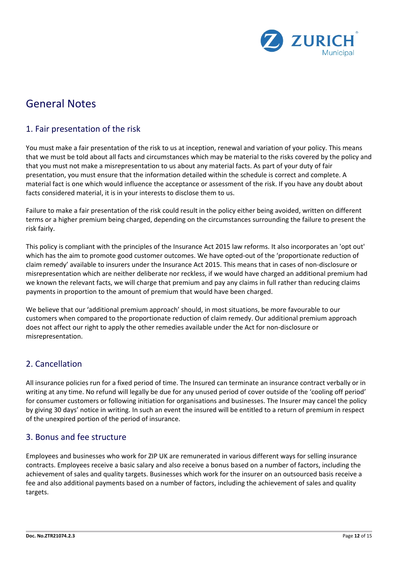

## General Notes

## 1. Fair presentation of the risk

You must make a fair presentation of the risk to us at inception, renewal and variation of your policy. This means that we must be told about all facts and circumstances which may be material to the risks covered by the policy and that you must not make a misrepresentation to us about any material facts. As part of your duty of fair presentation, you must ensure that the information detailed within the schedule is correct and complete. A material fact is one which would influence the acceptance or assessment of the risk. If you have any doubt about facts considered material, it is in your interests to disclose them to us.

Failure to make a fair presentation of the risk could result in the policy either being avoided, written on different terms or a higher premium being charged, depending on the circumstances surrounding the failure to present the risk fairly.

This policy is compliant with the principles of the Insurance Act 2015 law reforms. It also incorporates an 'opt out' which has the aim to promote good customer outcomes. We have opted-out of the 'proportionate reduction of claim remedy' available to insurers under the Insurance Act 2015. This means that in cases of non-disclosure or misrepresentation which are neither deliberate nor reckless, if we would have charged an additional premium had we known the relevant facts, we will charge that premium and pay any claims in full rather than reducing claims payments in proportion to the amount of premium that would have been charged.

We believe that our 'additional premium approach' should, in most situations, be more favourable to our customers when compared to the proportionate reduction of claim remedy. Our additional premium approach does not affect our right to apply the other remedies available under the Act for non-disclosure or misrepresentation.

## 2. Cancellation

All insurance policies run for a fixed period of time. The Insured can terminate an insurance contract verbally or in writing at any time. No refund will legally be due for any unused period of cover outside of the 'cooling off period' for consumer customers or following initiation for organisations and businesses. The Insurer may cancel the policy by giving 30 days' notice in writing. In such an event the insured will be entitled to a return of premium in respect of the unexpired portion of the period of insurance.

## 3. Bonus and fee structure

Employees and businesses who work for ZIP UK are remunerated in various different ways for selling insurance contracts. Employees receive a basic salary and also receive a bonus based on a number of factors, including the achievement of sales and quality targets. Businesses which work for the insurer on an outsourced basis receive a fee and also additional payments based on a number of factors, including the achievement of sales and quality targets.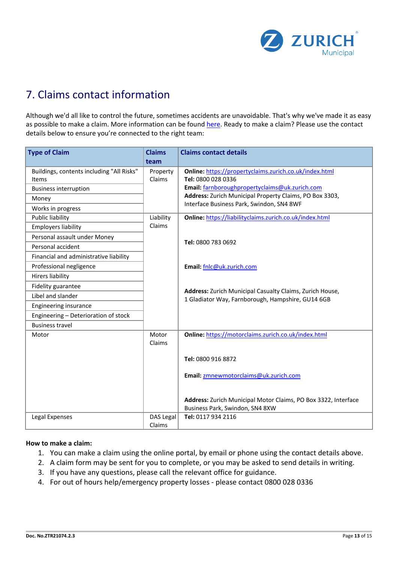

## 7. Claims contact information

Although we'd all like to control the future, sometimes accidents are unavoidable. That's why we've made it as easy as possible to make a claim. More information can be found [here.](https://www.zurich.co.uk/municipal/en-gb/existing-customers/make-a-claim) Ready to make a claim? Please use the contact details below to ensure you're connected to the right team:

| <b>Type of Claim</b>                      | <b>Claims</b>   | <b>Claims contact details</b>                                                                        |
|-------------------------------------------|-----------------|------------------------------------------------------------------------------------------------------|
|                                           | team            |                                                                                                      |
| Buildings, contents including "All Risks" | Property        | Online: https://propertyclaims.zurich.co.uk/index.html                                               |
| Items                                     | Claims          | Tel: 0800 028 0336                                                                                   |
| <b>Business interruption</b>              |                 | Email: farnboroughpropertyclaims@uk.zurich.com                                                       |
| Money                                     |                 | Address: Zurich Municipal Property Claims, PO Box 3303,<br>Interface Business Park, Swindon, SN4 8WF |
| Works in progress                         |                 |                                                                                                      |
| <b>Public liability</b>                   | Liability       | Online: https://liabilityclaims.zurich.co.uk/index.html                                              |
| <b>Employers liability</b>                | Claims          |                                                                                                      |
| Personal assault under Money              |                 | Tel: 0800 783 0692                                                                                   |
| Personal accident                         |                 |                                                                                                      |
| Financial and administrative liability    |                 |                                                                                                      |
| Professional negligence                   |                 | Email: fnlc@uk.zurich.com                                                                            |
| <b>Hirers liability</b>                   |                 |                                                                                                      |
| Fidelity guarantee                        |                 | Address: Zurich Municipal Casualty Claims, Zurich House,                                             |
| Libel and slander                         |                 | 1 Gladiator Way, Farnborough, Hampshire, GU14 6GB                                                    |
| Engineering insurance                     |                 |                                                                                                      |
| Engineering - Deterioration of stock      |                 |                                                                                                      |
| <b>Business travel</b>                    |                 |                                                                                                      |
| Motor                                     | Motor<br>Claims | Online: https://motorclaims.zurich.co.uk/index.html                                                  |
|                                           |                 | Tel: 0800 916 8872                                                                                   |
|                                           |                 | Email: zmnewmotorclaims@uk.zurich.com                                                                |
|                                           |                 |                                                                                                      |
|                                           |                 | Address: Zurich Municipal Motor Claims, PO Box 3322, Interface<br>Business Park, Swindon, SN4 8XW    |
| Legal Expenses                            | DAS Legal       | Tel: 0117 934 2116                                                                                   |
|                                           | Claims          |                                                                                                      |

#### **How to make a claim:**

- 1. You can make a claim using the online portal, by email or phone using the contact details above.
- 2. A claim form may be sent for you to complete, or you may be asked to send details in writing.
- 3. If you have any questions, please call the relevant office for guidance.
- 4. For out of hours help/emergency property losses please contact 0800 028 0336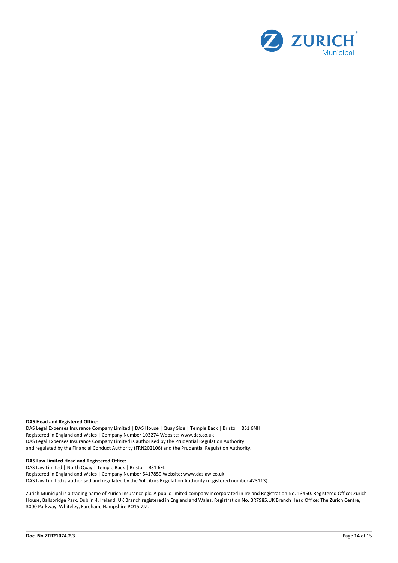

#### **DAS Head and Registered Office:**

DAS Legal Expenses Insurance Company Limited | DAS House | Quay Side | Temple Back | Bristol | BS1 6NH Registered in England and Wales | Company Number 103274 Website: www.das.co.uk DAS Legal Expenses Insurance Company Limited is authorised by the Prudential Regulation Authority and regulated by the Financial Conduct Authority (FRN202106) and the Prudential Regulation Authority.

#### **DAS Law Limited Head and Registered Office:**

DAS Law Limited | North Quay | Temple Back | Bristol | BS1 6FL Registered in England and Wales | Company Number 5417859 Website: www.daslaw.co.uk DAS Law Limited is authorised and regulated by the Solicitors Regulation Authority (registered number 423113).

Zurich Municipal is a trading name of Zurich Insurance plc. A public limited company incorporated in Ireland Registration No. 13460. Registered Office: Zurich House, Ballsbridge Park. Dublin 4, Ireland. UK Branch registered in England and Wales, Registration No. BR7985.UK Branch Head Office: The Zurich Centre, 3000 Parkway, Whiteley, Fareham, Hampshire PO15 7JZ.